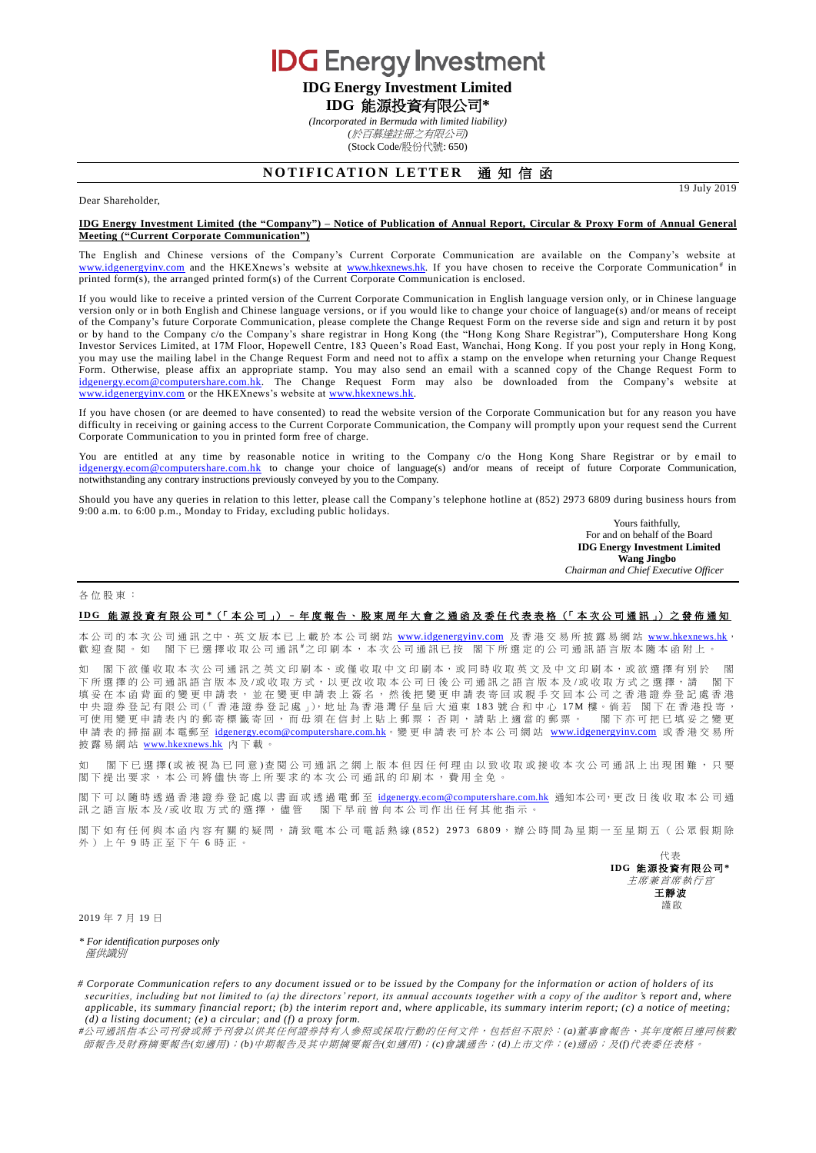**IDG** Energy Investment **IDG Energy Investment Limited**

**IDG** 能源投資有限公司**\***

*(Incorporated in Bermuda with limited liability) (*於百慕達註冊之有限公司*)* (Stock Code/股份代號: 650)

# **NOTIFICATION LETTER 通知信函**

19 July 2019

## Dear Shareholder,

#### **IDG Energy Investment Limited (the "Company") – Notice of Publication of Annual Report, Circular & Proxy Form of Annual General Meeting ("Current Corporate Communication")**

The English and Chinese versions of the Company's Current Corporate Communication are available on the Company's website at [www.idgenergyinv.com](http://www.idgenergyinv.com/) and the HKEXnews's website at [www.hkexnews.hk.](http://www.hkexnews.hk/) If you have chosen to receive the Corporate Communication<sup>#</sup> in printed form(s), the arranged printed form(s) of the Current Corporate Communication is enclosed.

If you would like to receive a printed version of the Current Corporate Communication in English language version only, or in Chinese language version only or in both English and Chinese language versions, or if you would like to change your choice of language(s) and/or means of receipt of the Company's future Corporate Communication, please complete the Change Request Form on the reverse side and sign and return it by post or by hand to the Company c/o the Company's share registrar in Hong Kong (the "Hong Kong Share Registrar"), Computershare Hong Kong Investor Services Limited, at 17M Floor, Hopewell Centre, 183 Queen's Road East, Wanchai, Hong Kong. If you post your reply in Hong Kong, you may use the mailing label in the Change Request Form and need not to affix a stamp on the envelope when returning your Change Request Form. Otherwise, please affix an appropriate stamp. You may also send an email with a scanned copy of the Change Request Form to [idgenergy.ecom@computershare.com.hk.](mailto:idgenergy.ecom@computershare.com.hk) The Change Request Form may also be downloaded from the Company's website at [www.idgenergyinv.com](http://www.idgenergyinv.com/) or the HKEXnews's website at [www.hkexnews.hk.](http://www.hkexnews.hk/)

If you have chosen (or are deemed to have consented) to read the website version of the Corporate Communication but for any reason you have difficulty in receiving or gaining access to the Current Corporate Communication, the Company will promptly upon your request send the Current Corporate Communication to you in printed form free of charge.

You are entitled at any time by reasonable notice in writing to the Company c/o the Hong Kong Share Registrar or by email to [idgenergy.ecom@computershare.com.hk](mailto:idgenergy.ecom@computershare.com.hk) to change your choice of language(s) and/or means of receipt of future Corporate Communication, notwithstanding any contrary instructions previously conveyed by you to the Company.

Should you have any queries in relation to this letter, please call the Company's telephone hotline at (852) 2973 6809 during business hours from 9:00 a.m. to 6:00 p.m., Monday to Friday, excluding public holidays.

Yours faithfully, For and on behalf of the Board **IDG Energy Investment Limited Wang Jingbo** *Chairman and Chief Executive Officer*

#### 各位股東 :

## **I D G** 能源投資有限公司 **\***(「 本 公 司 」) – 年度報告、 股 東 周 年 大 會 之通函及委任代表表格 (「 本次公司通訊 」) 之 發 佈 通 知

本公司的本次公司通訊之中、英文版本已上載於本公司網站 [www.idgenergyinv.com](http://www.idgenergyinv.com/) 及香港交易所披露易網站 [www.hkexnews.hk](http://www.hkexnews.hk/) 歡迎查閱。如 閣下已選擇收取公司通訊#之印刷本,本次公司通訊已按 閣下所選定的公司通訊語言版本隨本函附上。

如 閣下欲僅收取本次公司通訊之英文印刷本、或僅收取中文印刷本,或同時收取英文及中文印刷本,或欲選擇有別於 閣 下所選擇的公司通訊語言版本 及 /或 收 取 方 式 , 以 更 改 收 取 本公司日後 公司通訊之語言版本及 /或收取方式 之選擇 , 請 閣 下 填妥在本函背面的變更申請表,並在變更申請表上簽名,然後把變更申請表寄回或親手交回本公司之香港證券登記處香港 中 央 證 券 登 記 有 限 公 司 (「 香 港 證 券 登 記 處 」), 地 址 為 香 港 灣 仔 皇 后 大 道 東 183 號 合 和 中 心 17M 樓 。倘 若 閣 下 在 香 港 投 寄 ,<br>可 使 用 變 更 申 請 表 内 的 郵 寄 標 籤 寄 回 , 而 毌 須 在 信 封 上 貼 一 郵 票 ; 否 則 , 請 貼 上 適 當 的 郵 票 。 閣 下 亦 可 把 已 填 妥 之 變 更 可使用變更申請表內的郵寄標籤寄回,而毋須在信封上貼上郵票;否則,請貼上適當的郵票。 申請表的掃描副本電郵至 [idgenergy.ecom@computershare.com.hk](mailto:idgenergy.ecom@computershare.com.hk)。變更申請表可於本公司網站 [www.idgenergyinv.com](http://www.idgenergyinv.com/) 或香港交易所 披露易網站 [www.hkexnews.hk](http://www.hkexnews.hk/) 內下載。

如 閣下已 選 擇 (或 被 視 為 已 同 意 ) 查 閱 公 司 通 訊 之 網 上 版 本 但 因 任 何 理 由 以 致 收 取 或 接 收 本 次 公 司 通 訊 上 出 現 困 難 , 只 要 閣 下 提出要求, 本公司將儘 快寄上所要求的 本次公司通訊 的印刷本,費用全免。

閣下可以隨時透過香港證券登記處以書面或透過電郵至 [idgenergy.ecom@computershare.com.hk](mailto:idgenergy.ecom@computershare.com.hk) 通知本公司,更改日後收取本公司通 訊之語言版本及/或收取方式的選擇,儘管 閣下早前曾向本公司作出任何其他指示。

閣下如有任何與本函內容有關的疑問,請致電本公司電話熱線(852) 2973 6809,辦公時間為星期一至星期五(公眾假期除 外)上午 9 時正至下午 6 時正。

> 代表 **IDG** 能源投資有限公司**\*** 主席兼首席執行官 王靜波 謹啟

2019 年 7 月 19 日

*\* For identification purposes only* 僅供識別

*# Corporate Communication refers to any document issued or to be issued by the Company for the information or action of holders of its securities, including but not limited to (a) the directors' report, its annual accounts together with a copy of the auditor <i>'s report and, where applicable, its summary financial report; (b) the interim report and, where applicable, its summary interim report; (c) a notice of meeting; (d) a listing document; (e) a circular; and (f) a proxy form.*

*#*公司通訊指本公司刊發或將予刊發以供其任何證券持有人參照或採取行動的任何文件,包括但不限於:*(a)*董事會報告、其年度帳目連同核數 師報告及財務摘要報告*(*如適用*)*;*(b)*中期報告及其中期摘要報告*(*如適用*)*;*(c)*會議通告;*(d)*上市文件;*(e)*通函;及*(f)*代表委任表格。